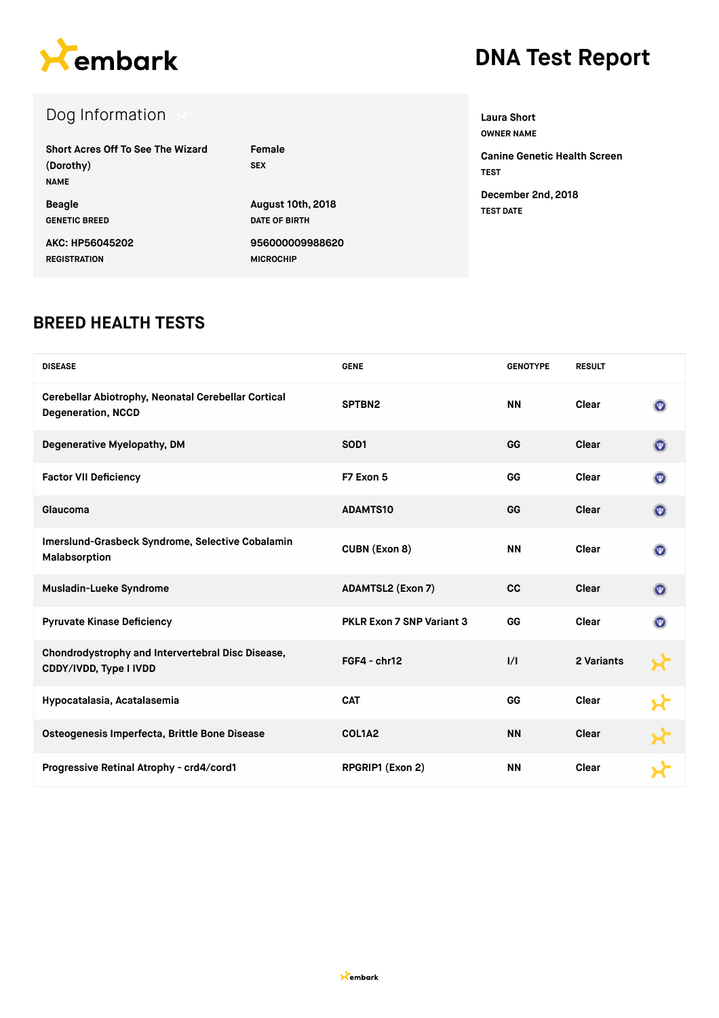

# **DNA Test Report**

| Dog Information                                               |                          |
|---------------------------------------------------------------|--------------------------|
| Short Acres Off To See The Wizard<br>(Dorothy)<br><b>NAME</b> | Female<br><b>SEX</b>     |
| <b>Beagle</b>                                                 | <b>August 10th, 2018</b> |
| <b>GENETIC BREED</b>                                          | DATE OF BIRTH            |
| AKC: HP56045202                                               | 956000009988620          |
| <b>REGISTRATION</b>                                           | <b>MICROCHIP</b>         |

**Laura Short OWNER NAME Canine Genetic Health Screen TEST December 2nd, 2018 TEST DATE**

### **BREED HEALTH TESTS**

| <b>DISEASE</b>                                                                   | <b>GENE</b>               | <b>GENOTYPE</b> | <b>RESULT</b> |                           |
|----------------------------------------------------------------------------------|---------------------------|-----------------|---------------|---------------------------|
| Cerebellar Abiotrophy, Neonatal Cerebellar Cortical<br><b>Degeneration, NCCD</b> | SPTBN2                    | <b>NN</b>       | Clear         | $(\overline{\mathbf{w}})$ |
| Degenerative Myelopathy, DM                                                      | SOD <sub>1</sub>          | GG              | Clear         | $\circledcirc$            |
| <b>Factor VII Deficiency</b>                                                     | F7 Exon 5                 | GG              | Clear         | $(\overline{\mathbf{w}})$ |
| Glaucoma                                                                         | <b>ADAMTS10</b>           | GG              | Clear         | $(\overline{\Psi})$       |
| Imerslund-Grasbeck Syndrome, Selective Cobalamin<br>Malabsorption                | <b>CUBN (Exon 8)</b>      | <b>NN</b>       | Clear         | $(\overline{\mathbf{w}})$ |
| <b>Musladin-Lueke Syndrome</b>                                                   | <b>ADAMTSL2 (Exon 7)</b>  | <b>CC</b>       | Clear         | $(\Psi)$                  |
| <b>Pyruvate Kinase Deficiency</b>                                                | PKLR Exon 7 SNP Variant 3 | GG              | Clear         | (西)                       |
| Chondrodystrophy and Intervertebral Disc Disease,<br>CDDY/IVDD, Type I IVDD      | FGF4 - chr12              | 1/1             | 2 Variants    |                           |
| Hypocatalasia, Acatalasemia                                                      | <b>CAT</b>                | GG              | Clear         |                           |
| Osteogenesis Imperfecta, Brittle Bone Disease                                    | COL1A2                    | <b>NN</b>       | Clear         |                           |
| Progressive Retinal Atrophy - crd4/cord1                                         | RPGRIP1 (Exon 2)          | <b>NN</b>       | Clear         |                           |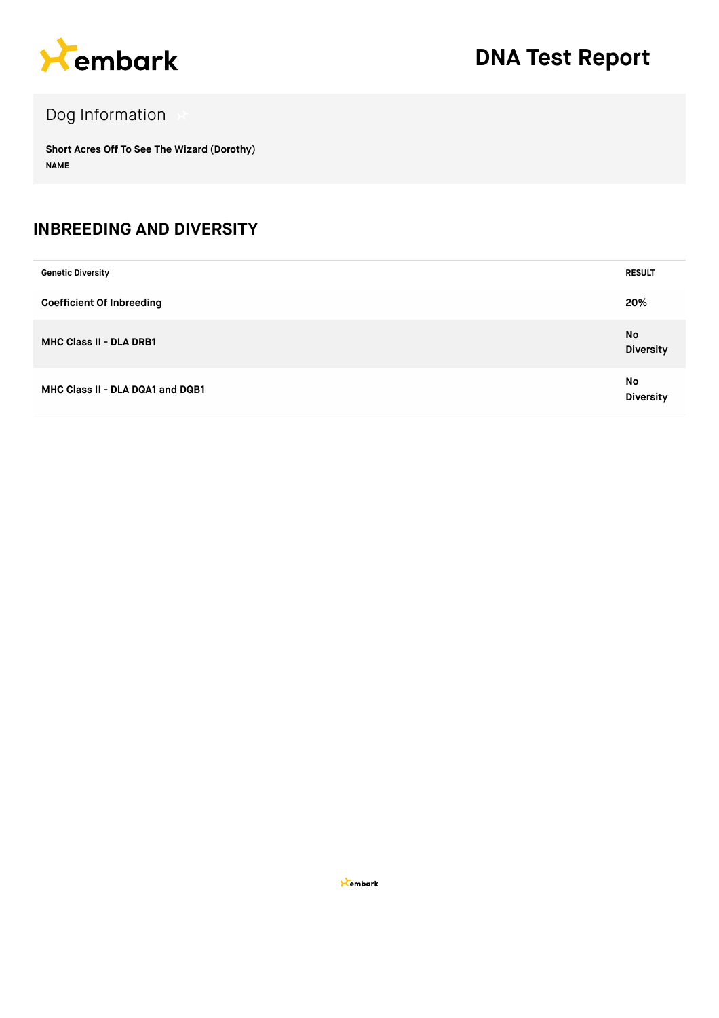

## Dog Information

**Short Acres Off To See The Wizard (Dorothy) NAME**

#### **INBREEDING AND DIVERSITY**

| <b>Genetic Diversity</b>         | <b>RESULT</b>          |
|----------------------------------|------------------------|
| <b>Coefficient Of Inbreeding</b> | 20%                    |
| <b>MHC Class II - DLA DRB1</b>   | No<br><b>Diversity</b> |
| MHC Class II - DLA DQA1 and DQB1 | No<br><b>Diversity</b> |

**X**embark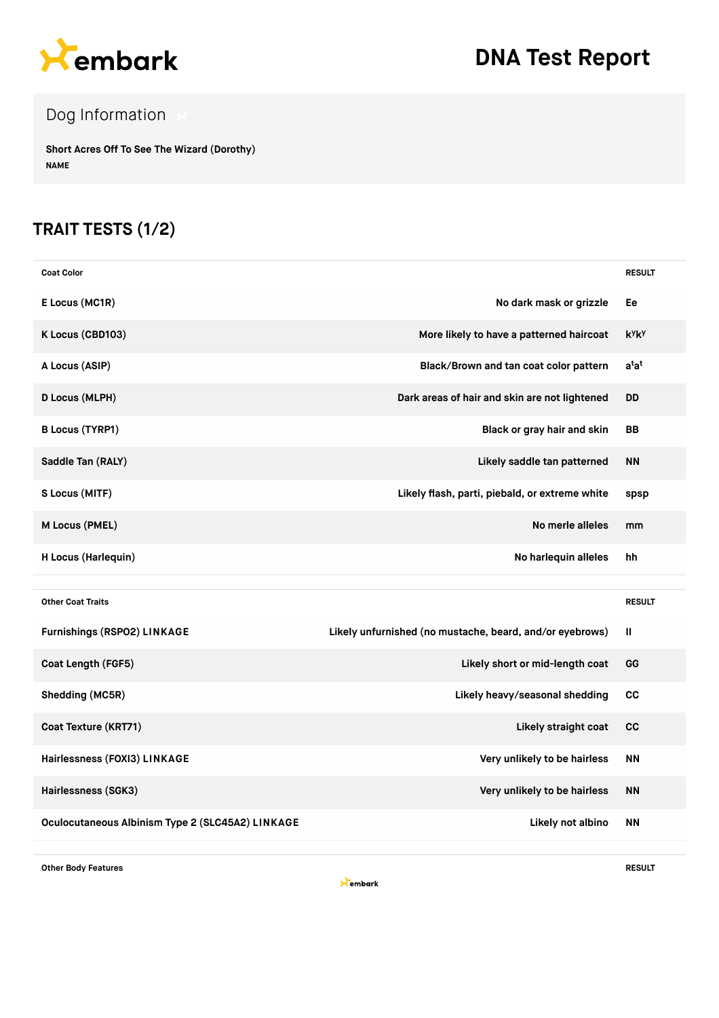

## **DNA Test Report**

## Dog Information

**Short Acres Off To See The Wizard (Dorothy) NAME**

### **TRAIT TESTS (1/2)**

| <b>Coat Color</b>            |                                                          | <b>RESULT</b>            |
|------------------------------|----------------------------------------------------------|--------------------------|
| E Locus (MC1R)               | No dark mask or grizzle                                  | Ee                       |
| K Locus (CBD103)             | More likely to have a patterned haircoat                 | <b>k</b> yk <sub>y</sub> |
| A Locus (ASIP)               | Black/Brown and tan coat color pattern                   | $a^{t}a^{t}$             |
| <b>D Locus (MLPH)</b>        | Dark areas of hair and skin are not lightened            | DD                       |
| <b>B Locus (TYRP1)</b>       | Black or gray hair and skin                              | <b>BB</b>                |
| Saddle Tan (RALY)            | Likely saddle tan patterned                              | <b>NN</b>                |
| S Locus (MITF)               | Likely flash, parti, piebald, or extreme white           | spsp                     |
| M Locus (PMEL)               | No merle alleles                                         | mm                       |
| H Locus (Harlequin)          | No harlequin alleles                                     | hh                       |
|                              |                                                          |                          |
| <b>Other Coat Traits</b>     |                                                          | <b>RESULT</b>            |
| Furnishings (RSPO2) LINKAGE  | Likely unfurnished (no mustache, beard, and/or eyebrows) | Ш                        |
| Coat Length (FGF5)           | Likely short or mid-length coat                          | GG                       |
| Shedding (MC5R)              | Likely heavy/seasonal shedding                           | cc                       |
| Coat Texture (KRT71)         | Likely straight coat                                     | cc                       |
| Hairlessness (FOXI3) LINKAGE | Very unlikely to be hairless                             | <b>NN</b>                |
| Hairlessness (SGK3)          | Very unlikely to be hairless                             | <b>NN</b>                |
|                              |                                                          |                          |

**Other Body Features RESULT**

**X**embark